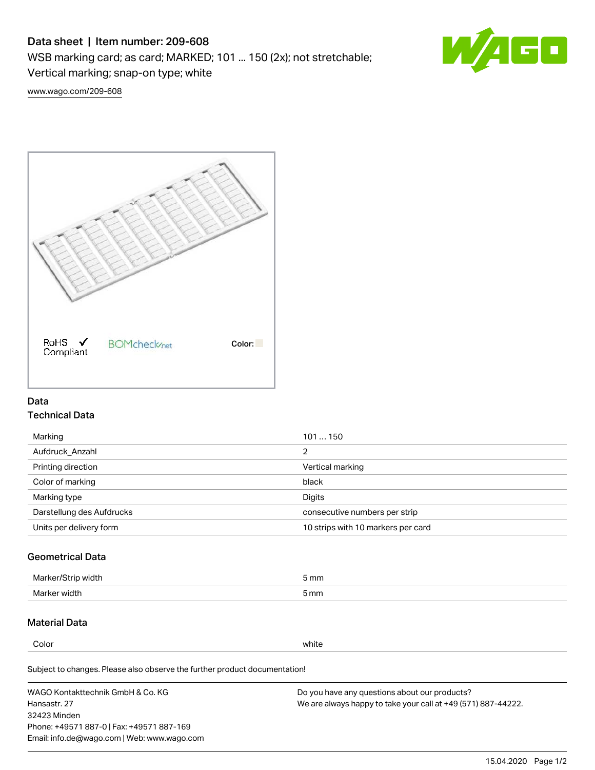# Data sheet | Item number: 209-608

WSB marking card; as card; MARKED; 101 ... 150 (2x); not stretchable;

Vertical marking; snap-on type; white



[www.wago.com/209-608](http://www.wago.com/209-608)



## Data Technical Data

| 101150                             |
|------------------------------------|
| っ                                  |
| Vertical marking                   |
| black                              |
| Digits                             |
| consecutive numbers per strip      |
| 10 strips with 10 markers per card |
|                                    |

# Geometrical Data

| طلقاء ئ<br><b>Marker</b><br>widtr | ັກmm |
|-----------------------------------|------|
| Marker width                      | 5 mm |

## Material Data

Color white

Subject to changes. Please also observe the further product documentation! Weight 8 g

WAGO Kontakttechnik GmbH & Co. KG Hansastr. 27 32423 Minden Phone: +49571 887-0 | Fax: +49571 887-169 Email: info.de@wago.com | Web: www.wago.com Do you have any questions about our products? We are always happy to take your call at +49 (571) 887-44222.